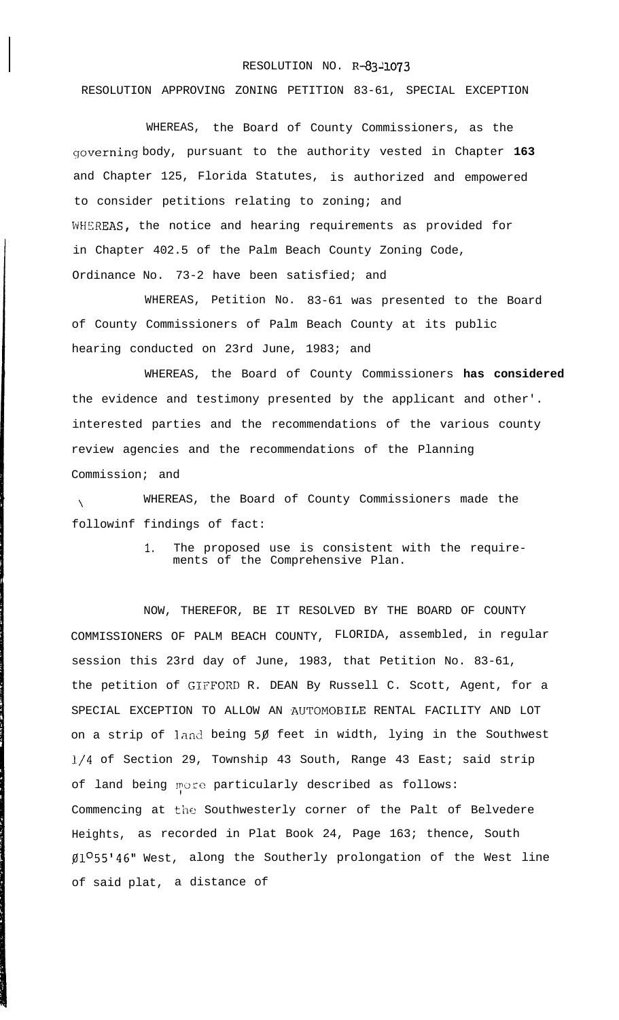## RESOLUTION NO. R-83-1073

RESOLUTION APPROVING ZONING PETITION 83-61, SPECIAL EXCEPTION

WHEREAS, the Board of County Commissioners, as the governing body, pursuant to the authority vested in Chapter 163 and Chapter 125, Florida Statutes, is authorized and empowered to consider petitions relating to zoning; and WHEREAS, the notice and hearing requirements as provided for in Chapter 402.5 of the Palm Beach County Zoning Code, Ordinance No. 73-2 have been satisfied; and

WHEREAS, Petition No. 83-61 was presented to the Board of County Commissioners of Palm Beach County at its public hearing conducted on 23rd June, 1983; and

WHEREAS, the Board of County Commissioners **has considered** the evidence and testimony presented by the applicant and other'. interested parties and the recommendations of the various county review agencies and the recommendations of the Planning Commission; and

 $\bar{\mathbf{V}}$ WHEREAS, the Board of County Commissioners made the followinf findings of fact:

> 1. The proposed use is consistent with the requirements of the Comprehensive Plan.

NOW, THEREFOR, BE IT RESOLVED BY THE BOARD OF COUNTY COMMISSIONERS OF PALM BEACH COUNTY, FLORIDA, assembled, in regular session this 23rd day of June, 1983, that Petition No. 83-61, the petition of GIFFORD R. DEAN By Russell C. Scott, Agent, for a SPECIAL EXCEPTION TO ALLOW AN AUTOMOBILE RENTAL FACILITY AND LOT on a strip of land being  $5\beta$  feet in width, lying in the Southwest l/4 of Section 29, Township 43 South, Range 43 East; said strip of land being more particularly described as follows: Commencing at the Southwesterly corner of the Palt of Belvedere Heights, as recorded in Plat Book 24, Page 163; thence, South  $$1^O$ 55'46" West, along the Southerly prolongation of the West line of said plat, a distance of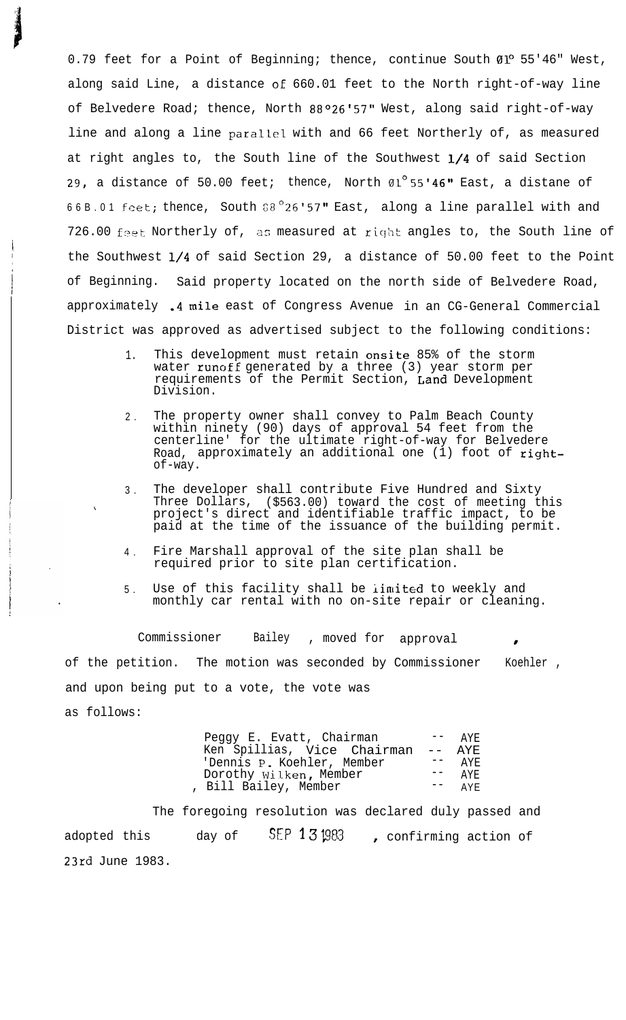0.79 feet for a Point of Beginning; thence, continue South 01º 55'46" West, along said Line, a distance oE 660.01 feet to the North right-of-way line of Belvedere Road; thence, North 88°26'57" West, along said right-of-way line and along a line parallel with and 66 feet Northerly of, as measured at right angles to, the South line of the Southwest 1/4 of said Section 29, a distance of 50.00 feet; thence, North  $01^{\circ}$ 55'46" East, a distane of 66B.01 feet; thence, South  $38^{\circ}26'57''$  East, along a line parallel with and 726.00 feet Northerly of, as measured at right angles to, the South line of the Southwest l/4 of said Section 29, a distance of 50.00 feet to the Point of Beginning. Said property located on the north side of Belvedere Road, approximately .4 mile east of Congress Avenue in an CG-General Commercial District was approved as advertised subject to the following conditions:

- 1. This development must retain onsite 85% of the storm water **runoff** generated by a three (3) year storm per requirements of the Permit Section, Land Development Division.
- 2 . The property owner shall convey to Palm Beach County within ninety (90) days of approval 54 feet from the centerline' for the ultimate right-of-way for Belvedere Road, approximately an additional one  $(i)$  foot of rightof-way.
- 3 . The developer shall contribute Five Hundred and Sixty Three Dollars, (\$563.00) toward the cost of meeting this project's direct and identifiable traffic impact, to be paid at the time of the issuance of the building permit.
- $4 \cdot$ Fire Marshall approval of the site plan shall be required prior to site plan certification.

\

5 . Use of this facility shall be iimited to weekly and monthly car rental with no on-site repair or cleaning.

Commissioner Bailey , moved for approval of the petition. The motion was seconded by Commissioner Koehler , and upon being put to a vote, the vote was as follows:

| Peggy E. Evatt, Chairman    |             | $-- \Delta YF$ |
|-----------------------------|-------------|----------------|
| Ken Spillias, Vice Chairman | $  \,$ $\,$ | AYE.           |
| 'Dennis P. Koehler, Member  |             | AYF.           |
| Dorothy Wilken, Member      |             | A Y F.         |
| , Bill Bailey, Member       |             | AYF            |

The foregoing resolution was declared duly passed and adopted this day of  $SEP 13 \, \mu$ 83, confirming action of 23rd June 1983.